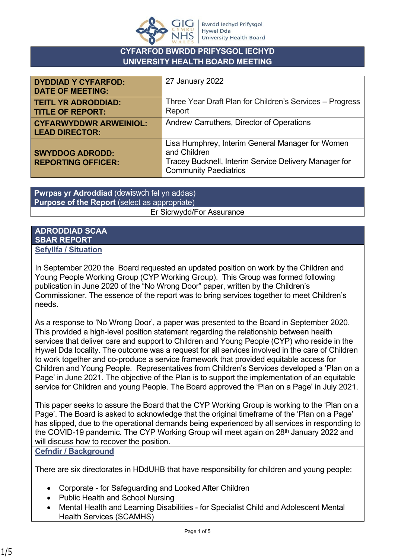

## **CYFARFOD BWRDD PRIFYSGOL IECHYD UNIVERSITY HEALTH BOARD MEETING**

| <b>DYDDIAD Y CYFARFOD:</b><br><b>DATE OF MEETING:</b>  | 27 January 2022                                                                                                                                           |
|--------------------------------------------------------|-----------------------------------------------------------------------------------------------------------------------------------------------------------|
| <b>TEITL YR ADRODDIAD:</b><br><b>TITLE OF REPORT:</b>  | Three Year Draft Plan for Children's Services - Progress<br>Report                                                                                        |
| <b>CYFARWYDDWR ARWEINIOL:</b><br><b>LEAD DIRECTOR:</b> | Andrew Carruthers, Director of Operations                                                                                                                 |
| <b>SWYDDOG ADRODD:</b><br><b>REPORTING OFFICER:</b>    | Lisa Humphrey, Interim General Manager for Women<br>and Children<br>Tracey Bucknell, Interim Service Delivery Manager for<br><b>Community Paediatrics</b> |

**Pwrpas yr Adroddiad** (dewiswch fel yn addas) **Purpose of the Report** (select as appropriate) Er Sicrwydd/For Assurance

#### **ADRODDIAD SCAA SBAR REPORT Sefyllfa / Situation**

In September 2020 the Board requested an updated position on work by the Children and Young People Working Group (CYP Working Group). This Group was formed following publication in June 2020 of the "No Wrong Door" paper, written by the Children's Commissioner. The essence of the report was to bring services together to meet Children's needs.

As a response to 'No Wrong Door', a paper was presented to the Board in September 2020. This provided a high-level position statement regarding the relationship between health services that deliver care and support to Children and Young People (CYP) who reside in the Hywel Dda locality. The outcome was a request for all services involved in the care of Children to work together and co-produce a service framework that provided equitable access for Children and Young People. Representatives from Children's Services developed a 'Plan on a Page' in June 2021. The objective of the Plan is to support the implementation of an equitable service for Children and young People. The Board approved the 'Plan on a Page' in July 2021.

This paper seeks to assure the Board that the CYP Working Group is working to the 'Plan on a Page'. The Board is asked to acknowledge that the original timeframe of the 'Plan on a Page' has slipped, due to the operational demands being experienced by all services in responding to the COVID-19 pandemic. The CYP Working Group will meet again on 28<sup>th</sup> January 2022 and will discuss how to recover the position.

**Cefndir / Background**

There are six directorates in HDdUHB that have responsibility for children and young people:

- Corporate for Safeguarding and Looked After Children
- Public Health and School Nursing
- Mental Health and Learning Disabilities for Specialist Child and Adolescent Mental Health Services (SCAMHS)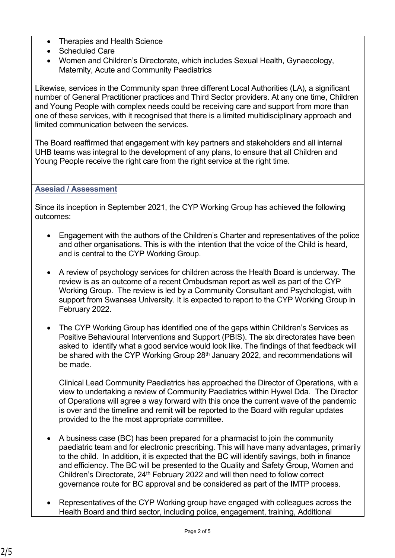- Therapies and Health Science
- Scheduled Care
- Women and Children's Directorate, which includes Sexual Health, Gynaecology, Maternity, Acute and Community Paediatrics

Likewise, services in the Community span three different Local Authorities (LA), a significant number of General Practitioner practices and Third Sector providers. At any one time, Children and Young People with complex needs could be receiving care and support from more than one of these services, with it recognised that there is a limited multidisciplinary approach and limited communication between the services.

The Board reaffirmed that engagement with key partners and stakeholders and all internal UHB teams was integral to the development of any plans, to ensure that all Children and Young People receive the right care from the right service at the right time.

## **Asesiad / Assessment**

Since its inception in September 2021, the CYP Working Group has achieved the following outcomes:

- Engagement with the authors of the Children's Charter and representatives of the police and other organisations. This is with the intention that the voice of the Child is heard, and is central to the CYP Working Group.
- A review of psychology services for children across the Health Board is underway. The review is as an outcome of a recent Ombudsman report as well as part of the CYP Working Group. The review is led by a Community Consultant and Psychologist, with support from Swansea University. It is expected to report to the CYP Working Group in February 2022.
- The CYP Working Group has identified one of the gaps within Children's Services as Positive Behavioural Interventions and Support (PBIS). The six directorates have been asked to identify what a good service would look like. The findings of that feedback will be shared with the CYP Working Group 28<sup>th</sup> January 2022, and recommendations will be made.

Clinical Lead Community Paediatrics has approached the Director of Operations, with a view to undertaking a review of Community Paediatrics within Hywel Dda. The Director of Operations will agree a way forward with this once the current wave of the pandemic is over and the timeline and remit will be reported to the Board with regular updates provided to the the most appropriate committee.

- A business case (BC) has been prepared for a pharmacist to join the community paediatric team and for electronic prescribing. This will have many advantages, primarily to the child. In addition, it is expected that the BC will identify savings, both in finance and efficiency. The BC will be presented to the Quality and Safety Group, Women and Children's Directorate, 24<sup>th</sup> February 2022 and will then need to follow correct governance route for BC approval and be considered as part of the IMTP process.
- Representatives of the CYP Working group have engaged with colleagues across the Health Board and third sector, including police, engagement, training, Additional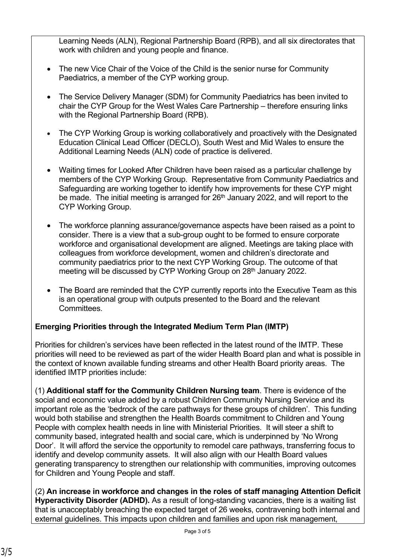Learning Needs (ALN), Regional Partnership Board (RPB), and all six directorates that work with children and young people and finance.

- The new Vice Chair of the Voice of the Child is the senior nurse for Community Paediatrics, a member of the CYP working group.
- The Service Delivery Manager (SDM) for Community Paediatrics has been invited to chair the CYP Group for the West Wales Care Partnership – therefore ensuring links with the Regional Partnership Board (RPB).
- The CYP Working Group is working collaboratively and proactively with the Designated Education Clinical Lead Officer (DECLO), South West and Mid Wales to ensure the Additional Learning Needs (ALN) code of practice is delivered.
- Waiting times for Looked After Children have been raised as a particular challenge by members of the CYP Working Group. Representative from Community Paediatrics and Safeguarding are working together to identify how improvements for these CYP might be made. The initial meeting is arranged for  $26<sup>th</sup>$  January 2022, and will report to the CYP Working Group.
- The workforce planning assurance/governance aspects have been raised as a point to consider. There is a view that a sub-group ought to be formed to ensure corporate workforce and organisational development are aligned. Meetings are taking place with colleagues from workforce development, women and children's directorate and community paediatrics prior to the next CYP Working Group. The outcome of that meeting will be discussed by CYP Working Group on 28th January 2022.
- The Board are reminded that the CYP currently reports into the Executive Team as this is an operational group with outputs presented to the Board and the relevant Committees.

# **Emerging Priorities through the Integrated Medium Term Plan (IMTP)**

Priorities for children's services have been reflected in the latest round of the IMTP. These priorities will need to be reviewed as part of the wider Health Board plan and what is possible in the context of known available funding streams and other Health Board priority areas. The identified IMTP priorities include:

(1) **Additional staff for the Community Children Nursing team**. There is evidence of the social and economic value added by a robust Children Community Nursing Service and its important role as the 'bedrock of the care pathways for these groups of children'. This funding would both stabilise and strengthen the Health Boards commitment to Children and Young People with complex health needs in line with Ministerial Priorities. It will steer a shift to community based, integrated health and social care, which is underpinned by 'No Wrong Door'. It will afford the service the opportunity to remodel care pathways, transferring focus to identify and develop community assets. It will also align with our Health Board values generating transparency to strengthen our relationship with communities, improving outcomes for Children and Young People and staff.

(2) **An increase in workforce and changes in the roles of staff managing Attention Deficit Hyperactivity Disorder (ADHD).** As a result of long-standing vacancies, there is a waiting list that is unacceptably breaching the expected target of 26 weeks, contravening both internal and external guidelines. This impacts upon children and families and upon risk management,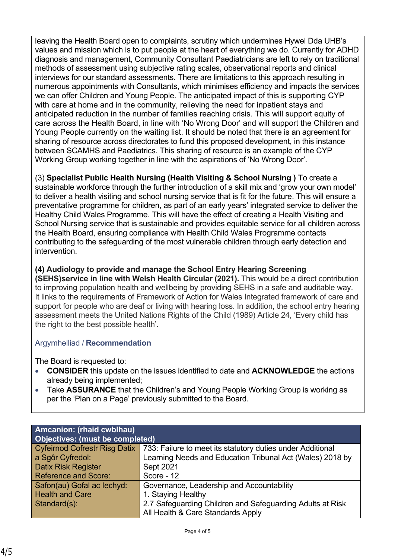leaving the Health Board open to complaints, scrutiny which undermines Hywel Dda UHB's values and mission which is to put people at the heart of everything we do. Currently for ADHD diagnosis and management, Community Consultant Paediatricians are left to rely on traditional methods of assessment using subjective rating scales, observational reports and clinical interviews for our standard assessments. There are limitations to this approach resulting in numerous appointments with Consultants, which minimises efficiency and impacts the services we can offer Children and Young People. The anticipated impact of this is supporting CYP with care at home and in the community, relieving the need for inpatient stays and anticipated reduction in the number of families reaching crisis. This will support equity of care across the Health Board, in line with 'No Wrong Door' and will support the Children and Young People currently on the waiting list. It should be noted that there is an agreement for sharing of resource across directorates to fund this proposed development, in this instance between SCAMHS and Paediatrics. This sharing of resource is an example of the CYP Working Group working together in line with the aspirations of 'No Wrong Door'.

(3) **Specialist Public Health Nursing (Health Visiting & School Nursing )** To create a sustainable workforce through the further introduction of a skill mix and 'grow your own model' to deliver a health visiting and school nursing service that is fit for the future. This will ensure a preventative programme for children, as part of an early years' integrated service to deliver the Healthy Child Wales Programme. This will have the effect of creating a Health Visiting and School Nursing service that is sustainable and provides equitable service for all children across the Health Board, ensuring compliance with Health Child Wales Programme contacts contributing to the safeguarding of the most vulnerable children through early detection and intervention.

## **(4) Audiology to provide and manage the School Entry Hearing Screening**

**(SEHS)service in line with Welsh Health Circular (2021).** This would be a direct contribution to improving population health and wellbeing by providing SEHS in a safe and auditable way. It links to the requirements of Framework of Action for Wales Integrated framework of care and support for people who are deaf or living with hearing loss. In addition, the school entry hearing assessment meets the United Nations Rights of the Child (1989) Article 24, 'Every child has the right to the best possible health'.

### Argymhelliad / **Recommendation**

The Board is requested to:

- **CONSIDER** this update on the issues identified to date and **ACKNOWLEDGE** the actions already being implemented;
- Take **ASSURANCE** that the Children's and Young People Working Group is working as per the 'Plan on a Page' previously submitted to the Board.

| Amcanion: (rhaid cwblhau)              |                                                            |  |
|----------------------------------------|------------------------------------------------------------|--|
| <b>Objectives: (must be completed)</b> |                                                            |  |
| <b>Cyfeirnod Cofrestr Risg Datix</b>   | 733: Failure to meet its statutory duties under Additional |  |
| a Sgôr Cyfredol:                       | Learning Needs and Education Tribunal Act (Wales) 2018 by  |  |
| <b>Datix Risk Register</b>             | Sept 2021                                                  |  |
| <b>Reference and Score:</b>            | Score - 12                                                 |  |
| Safon(au) Gofal ac lechyd:             | Governance, Leadership and Accountability                  |  |
| <b>Health and Care</b>                 | 1. Staying Healthy                                         |  |
| Standard(s):                           | 2.7 Safeguarding Children and Safeguarding Adults at Risk  |  |
|                                        | All Health & Care Standards Apply                          |  |